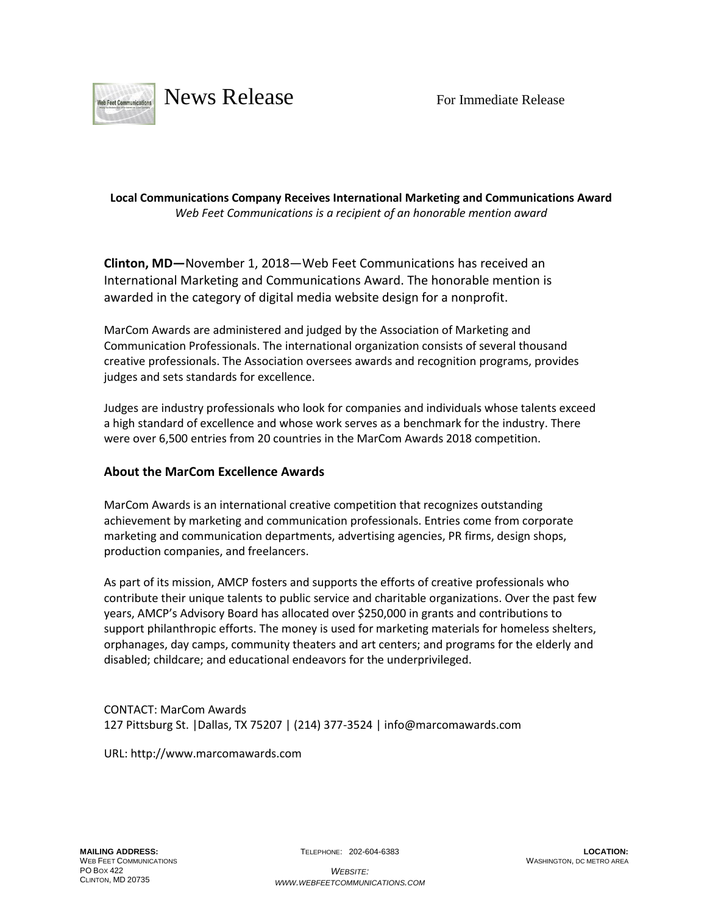

## **Local Communications Company Receives International Marketing and Communications Award** *Web Feet Communications is a recipient of an honorable mention award*

**Clinton, MD—**November 1, 2018—Web Feet Communications has received an International Marketing and Communications Award. The honorable mention is awarded in the category of digital media website design for a nonprofit.

MarCom Awards are administered and judged by the [Association](http://www.amcpros.com/) of Marketing and [Communication](http://www.amcpros.com/) Professionals. The international organization consists of several thousand creative professionals. The Association oversees awards and recognition programs, provides judges and sets standards for excellence.

Judges are industry professionals who look for companies and individuals whose talents exceed a high standard of excellence and whose work serves as a benchmark for the industry. There were over 6,500 entries from 20 countries in the MarCom Awards 2018 competition.

## **About the MarCom Excellence Awards**

MarCom Awards is an international creative competition that recognizes outstanding achievement by marketing and communication professionals. Entries come from corporate marketing and communication departments, advertising agencies, PR firms, design shops, production companies, and freelancers.

As part of its mission, AMCP fosters and supports the efforts of creative professionals who contribute their unique talents to public service and charitable organizations. Over the past few years, AMCP's Advisory Board has allocated over \$250,000 in grants and contributions to support philanthropic efforts. The money is used for marketing materials for homeless shelters, orphanages, day camps, community theaters and art centers; and programs for the elderly and disabled; childcare; and educational endeavors for the underprivileged.

CONTACT: MarCom Awards 127 Pittsburg St. |Dallas, TX 75207 | (214) 377-3524 | info@marcomawards.com

URL: http://www.marcomawards.com

TELEPHONE: 202-604-6383